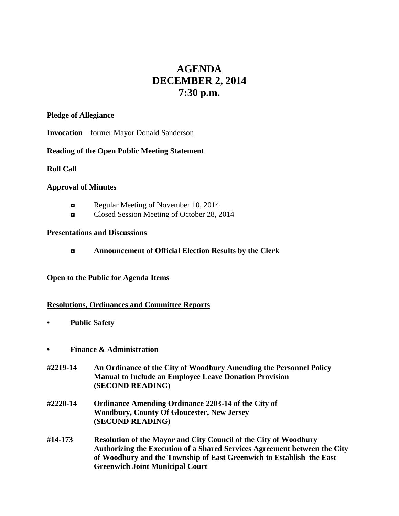# **AGENDA DECEMBER 2, 2014 7:30 p.m.**

#### **Pledge of Allegiance**

**Invocation** – former Mayor Donald Sanderson

# **Reading of the Open Public Meeting Statement**

#### **Roll Call**

# **Approval of Minutes**

- Regular Meeting of November 10, 2014
- ◘ Closed Session Meeting of October 28, 2014

#### **Presentations and Discussions**

**◘ Announcement of Official Election Results by the Clerk**

#### **Open to the Public for Agenda Items**

#### **Resolutions, Ordinances and Committee Reports**

- **• Public Safety**
- **• Finance & Administration**
- **#2219-14 An Ordinance of the City of Woodbury Amending the Personnel Policy Manual to Include an Employee Leave Donation Provision (SECOND READING)**
- **#2220-14 Ordinance Amending Ordinance 2203-14 of the City of Woodbury, County Of Gloucester, New Jersey (SECOND READING)**
- **#14-173 Resolution of the Mayor and City Council of the City of Woodbury Authorizing the Execution of a Shared Services Agreement between the City of Woodbury and the Township of East Greenwich to Establish the East Greenwich Joint Municipal Court**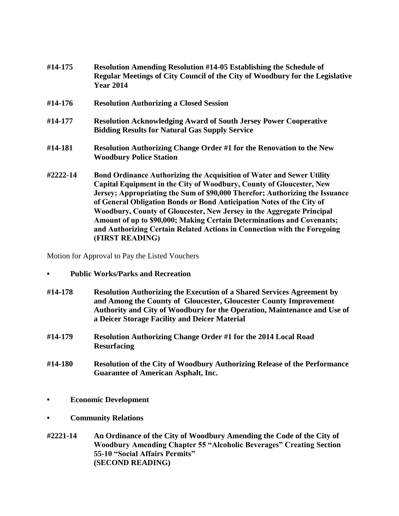| #14-175  | <b>Resolution Amending Resolution #14-05 Establishing the Schedule of</b><br>Regular Meetings of City Council of the City of Woodbury for the Legislative<br><b>Year 2014</b>                                                                                                                                                                                                                                                                                                                                                                                   |
|----------|-----------------------------------------------------------------------------------------------------------------------------------------------------------------------------------------------------------------------------------------------------------------------------------------------------------------------------------------------------------------------------------------------------------------------------------------------------------------------------------------------------------------------------------------------------------------|
| #14-176  | <b>Resolution Authorizing a Closed Session</b>                                                                                                                                                                                                                                                                                                                                                                                                                                                                                                                  |
| #14-177  | <b>Resolution Acknowledging Award of South Jersey Power Cooperative</b><br><b>Bidding Results for Natural Gas Supply Service</b>                                                                                                                                                                                                                                                                                                                                                                                                                                |
| #14-181  | Resolution Authorizing Change Order #1 for the Renovation to the New<br><b>Woodbury Police Station</b>                                                                                                                                                                                                                                                                                                                                                                                                                                                          |
| #2222-14 | <b>Bond Ordinance Authorizing the Acquisition of Water and Sewer Utility</b><br>Capital Equipment in the City of Woodbury, County of Gloucester, New<br>Jersey; Appropriating the Sum of \$90,000 Therefor; Authorizing the Issuance<br>of General Obligation Bonds or Bond Anticipation Notes of the City of<br>Woodbury, County of Gloucester, New Jersey in the Aggregate Principal<br>Amount of up to \$90,000; Making Certain Determinations and Covenants;<br>and Authorizing Certain Related Actions in Connection with the Foregoing<br>(FIRST READING) |

Motion for Approval to Pay the Listed Vouchers

- **• Public Works/Parks and Recreation**
- **#14-178 Resolution Authorizing the Execution of a Shared Services Agreement by and Among the County of Gloucester, Gloucester County Improvement Authority and City of Woodbury for the Operation, Maintenance and Use of a Deicer Storage Facility and Deicer Material**
- **#14-179 Resolution Authorizing Change Order #1 for the 2014 Local Road Resurfacing**
- **#14-180 Resolution of the City of Woodbury Authorizing Release of the Performance Guarantee of American Asphalt, Inc.**
- **• Economic Development**
- **• Community Relations**
- **#2221-14 An Ordinance of the City of Woodbury Amending the Code of the City of Woodbury Amending Chapter 55 "Alcoholic Beverages" Creating Section 55-10 "Social Affairs Permits" (SECOND READING)**